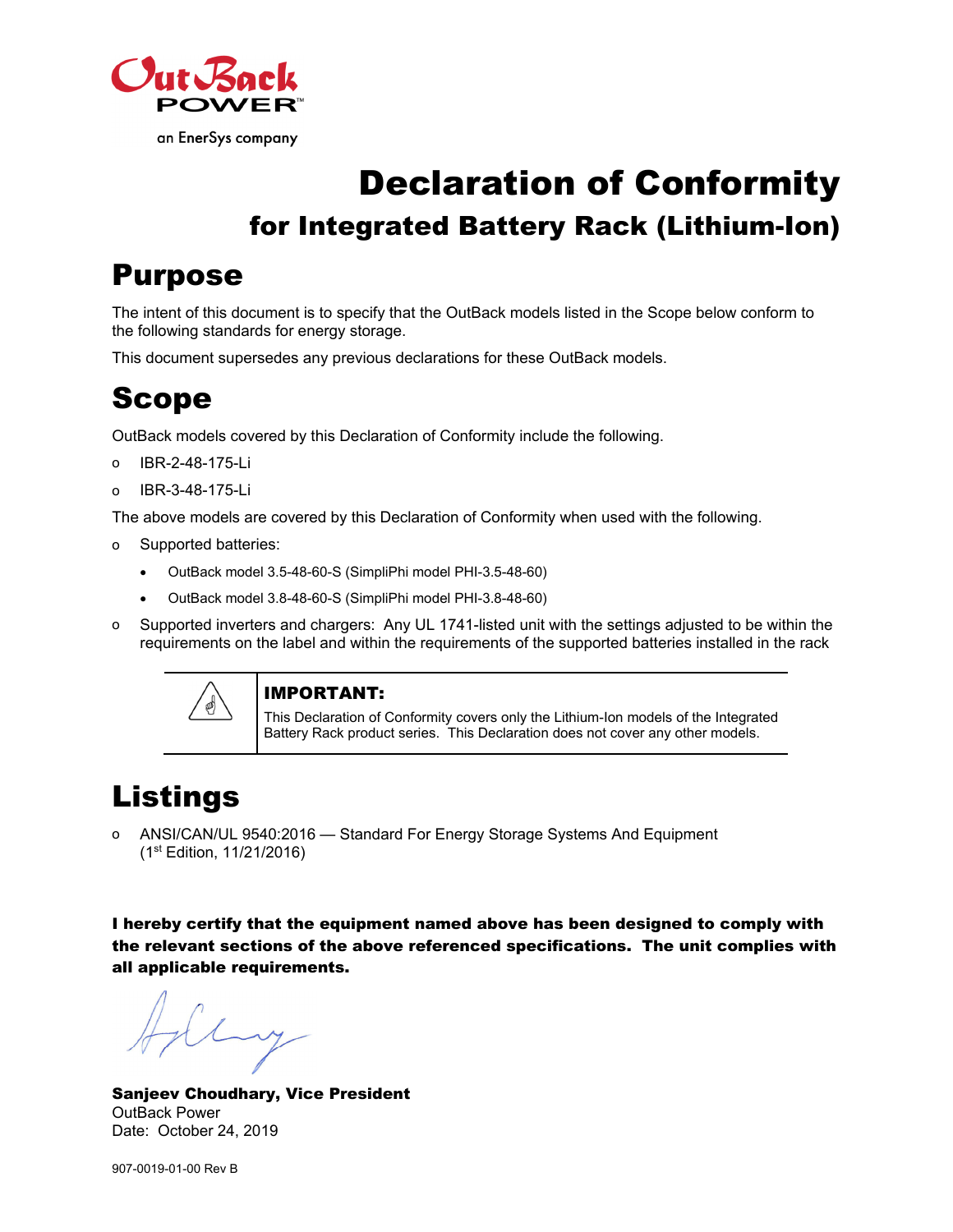

# Declaration of Conformity for Integrated Battery Rack (Lithium-Ion)

# Purpose

The intent of this document is to specify that the OutBack models listed in the Scope below conform to the following standards for energy storage.

This document supersedes any previous declarations for these OutBack models.

## Scope

OutBack models covered by this Declaration of Conformity include the following.

- o IBR-2-48-175-Li
- o IBR-3-48-175-Li

The above models are covered by this Declaration of Conformity when used with the following.

- o Supported batteries:
	- OutBack model 3.5-48-60-S (SimpliPhi model PHI-3.5-48-60)
	- OutBack model 3.8-48-60-S (SimpliPhi model PHI-3.8-48-60)
- o Supported inverters and chargers: Any UL 1741-listed unit with the settings adjusted to be within the requirements on the label and within the requirements of the supported batteries installed in the rack



#### IMPORTANT:

This Declaration of Conformity covers only the Lithium-Ion models of the Integrated Battery Rack product series. This Declaration does not cover any other models.

# Listings

o ANSI/CAN/UL 9540:2016 — Standard For Energy Storage Systems And Equipment (1st Edition, 11/21/2016)

I hereby certify that the equipment named above has been designed to comply with the relevant sections of the above referenced specifications. The unit complies with all applicable requirements.

Luy

Sanjeev Choudhary, Vice President OutBack Power Date: October 24, 2019

907-0019-01-00 Rev B